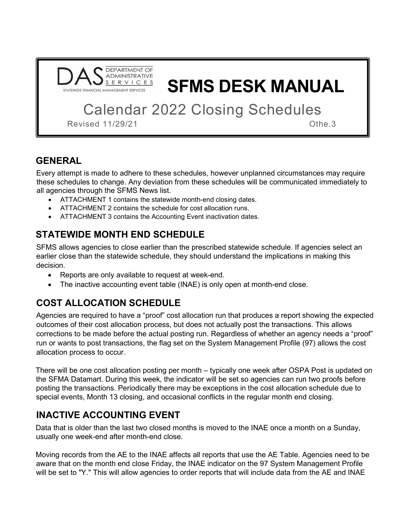

SFMS DESK MANUAL

Calendar 2022 Closing Schedules

Revised 11/29/21 Othe.3

## GENERAL

Every attempt is made to adhere to these schedules, however unplanned circumstances may require these schedules to change. Any deviation from these schedules will be communicated immediately to all agencies through the SFMS News list.

- ATTACHMENT 1 contains the statewide month-end closing dates.
- ATTACHMENT 2 contains the schedule for cost allocation runs.
- ATTACHMENT 3 contains the Accounting Event inactivation dates.

## STATEWIDE MONTH END SCHEDULE

SFMS allows agencies to close earlier than the prescribed statewide schedule. If agencies select an earlier close than the statewide schedule, they should understand the implications in making this decision.

- Reports are only available to request at week-end.
- The inactive accounting event table (INAE) is only open at month-end close.

# COST ALLOCATION SCHEDULE

Agencies are required to have a "proof" cost allocation run that produces a report showing the expected outcomes of their cost allocation process, but does not actually post the transactions. This allows corrections to be made before the actual posting run. Regardless of whether an agency needs a "proof" run or wants to post transactions, the flag set on the System Management Profile (97) allows the cost allocation process to occur.

There will be one cost allocation posting per month – typically one week after OSPA Post is updated on the SFMA Datamart. During this week, the indicator will be set so agencies can run two proofs before posting the transactions. Periodically there may be exceptions in the cost allocation schedule due to special events, Month 13 closing, and occasional conflicts in the regular month end closing.

# INACTIVE ACCOUNTING EVENT

Data that is older than the last two closed months is moved to the INAE once a month on a Sunday, usually one week-end after month-end close.

Moving records from the AE to the INAE affects all reports that use the AE Table. Agencies need to be aware that on the month end close Friday, the INAE indicator on the 97 System Management Profile will be set to "Y." This will allow agencies to order reports that will include data from the AE and INAE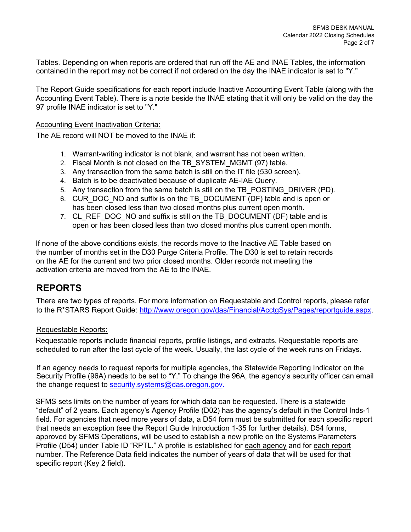Tables. Depending on when reports are ordered that run off the AE and INAE Tables, the information contained in the report may not be correct if not ordered on the day the INAE indicator is set to "Y."

The Report Guide specifications for each report include Inactive Accounting Event Table (along with the Accounting Event Table). There is a note beside the INAE stating that it will only be valid on the day the 97 profile INAE indicator is set to "Y."

#### Accounting Event Inactivation Criteria:

The AE record will NOT be moved to the INAE if:

- 1. Warrant-writing indicator is not blank, and warrant has not been written.
- 2. Fiscal Month is not closed on the TB\_SYSTEM\_MGMT (97) table.
- 3. Any transaction from the same batch is still on the IT file (530 screen).
- 4. Batch is to be deactivated because of duplicate AE-IAE Query.
- 5. Any transaction from the same batch is still on the TB\_POSTING\_DRIVER (PD).
- 6. CUR\_DOC\_NO and suffix is on the TB\_DOCUMENT (DF) table and is open or has been closed less than two closed months plus current open month.
- 7. CL\_REF\_DOC\_NO and suffix is still on the TB\_DOCUMENT (DF) table and is open or has been closed less than two closed months plus current open month.

If none of the above conditions exists, the records move to the Inactive AE Table based on the number of months set in the D30 Purge Criteria Profile. The D30 is set to retain records on the AE for the current and two prior closed months. Older records not meeting the activation criteria are moved from the AE to the INAE.

### REPORTS

There are two types of reports. For more information on Requestable and Control reports, please refer to the R\*STARS Report Guide: http://www.oregon.gov/das/Financial/AcctgSys/Pages/reportguide.aspx.

#### Requestable Reports:

Requestable reports include financial reports, profile listings, and extracts. Requestable reports are scheduled to run after the last cycle of the week. Usually, the last cycle of the week runs on Fridays.

If an agency needs to request reports for multiple agencies, the Statewide Reporting Indicator on the Security Profile (96A) needs to be set to "Y." To change the 96A, the agency's security officer can email the change request to security.systems@das.oregon.gov.

SFMS sets limits on the number of years for which data can be requested. There is a statewide "default" of 2 years. Each agency's Agency Profile (D02) has the agency's default in the Control Inds-1 field. For agencies that need more years of data, a D54 form must be submitted for each specific report that needs an exception (see the Report Guide Introduction 1-35 for further details). D54 forms, approved by SFMS Operations, will be used to establish a new profile on the Systems Parameters Profile (D54) under Table ID "RPTL." A profile is established for each agency and for each report number. The Reference Data field indicates the number of years of data that will be used for that specific report (Key 2 field).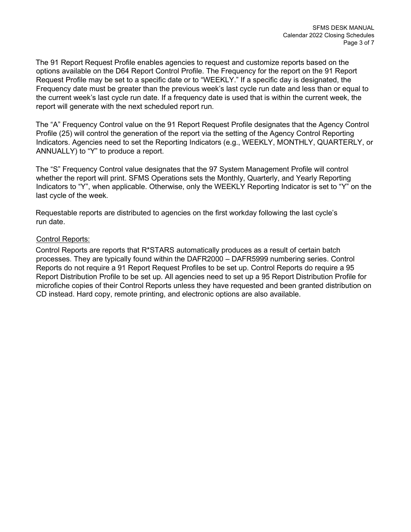The 91 Report Request Profile enables agencies to request and customize reports based on the options available on the D64 Report Control Profile. The Frequency for the report on the 91 Report Request Profile may be set to a specific date or to "WEEKLY." If a specific day is designated, the Frequency date must be greater than the previous week's last cycle run date and less than or equal to the current week's last cycle run date. If a frequency date is used that is within the current week, the report will generate with the next scheduled report run.

The "A" Frequency Control value on the 91 Report Request Profile designates that the Agency Control Profile (25) will control the generation of the report via the setting of the Agency Control Reporting Indicators. Agencies need to set the Reporting Indicators (e.g., WEEKLY, MONTHLY, QUARTERLY, or ANNUALLY) to "Y" to produce a report.

The "S" Frequency Control value designates that the 97 System Management Profile will control whether the report will print. SFMS Operations sets the Monthly, Quarterly, and Yearly Reporting Indicators to "Y", when applicable. Otherwise, only the WEEKLY Reporting Indicator is set to "Y" on the last cycle of the week.

Requestable reports are distributed to agencies on the first workday following the last cycle's run date.

#### Control Reports:

Control Reports are reports that R\*STARS automatically produces as a result of certain batch processes. They are typically found within the DAFR2000 – DAFR5999 numbering series. Control Reports do not require a 91 Report Request Profiles to be set up. Control Reports do require a 95 Report Distribution Profile to be set up. All agencies need to set up a 95 Report Distribution Profile for microfiche copies of their Control Reports unless they have requested and been granted distribution on CD instead. Hard copy, remote printing, and electronic options are also available.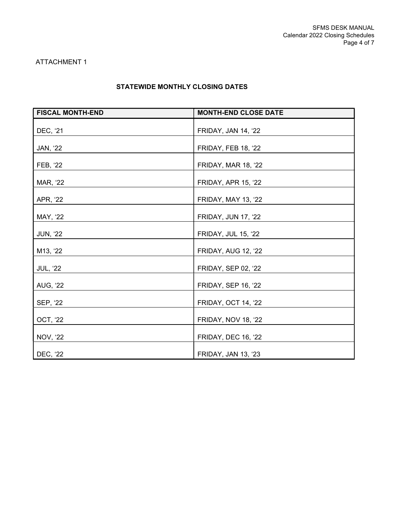#### ATTACHMENT 1

### STATEWIDE MONTHLY CLOSING DATES

| <b>FISCAL MONTH-END</b> | <b>MONTH-END CLOSE DATE</b> |
|-------------------------|-----------------------------|
| DEC, '21                | FRIDAY, JAN 14, '22         |
| JAN, '22                | <b>FRIDAY, FEB 18, '22</b>  |
| FEB, '22                | FRIDAY, MAR 18, '22         |
| MAR, '22                | <b>FRIDAY, APR 15, '22</b>  |
| APR, '22                | <b>FRIDAY, MAY 13, '22</b>  |
| MAY, '22                | <b>FRIDAY, JUN 17, '22</b>  |
| <b>JUN, '22</b>         | <b>FRIDAY, JUL 15, '22</b>  |
| M13, '22                | FRIDAY, AUG 12, '22         |
| <b>JUL, '22</b>         | FRIDAY, SEP 02, '22         |
| <b>AUG, '22</b>         | <b>FRIDAY, SEP 16, '22</b>  |
| SEP, '22                | <b>FRIDAY, OCT 14, '22</b>  |
| OCT, '22                | FRIDAY, NOV 18, '22         |
| <b>NOV, '22</b>         | <b>FRIDAY, DEC 16, '22</b>  |
| DEC, '22                | <b>FRIDAY, JAN 13, '23</b>  |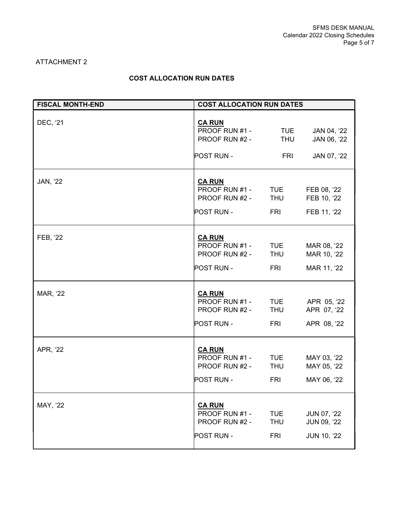#### ATTACHMENT 2

### COST ALLOCATION RUN DATES

| <b>FISCAL MONTH-END</b> | <b>COST ALLOCATION RUN DATES</b>                                       |                                        |                                                         |
|-------------------------|------------------------------------------------------------------------|----------------------------------------|---------------------------------------------------------|
| DEC, '21                | <b>CA RUN</b><br>PROOF RUN #1 -<br>PROOF RUN #2 -<br><b>POST RUN -</b> | <b>TUE</b><br><b>THU</b><br>FRI.       | JAN 04, '22<br>JAN 06, '22<br>JAN 07, '22               |
| JAN, '22                | <b>CA RUN</b><br>PROOF RUN #1 -<br>PROOF RUN #2 -<br><b>POST RUN -</b> | <b>TUE</b><br><b>THU</b><br><b>FRI</b> | FEB 08, '22<br>FEB 10, '22<br>FEB 11, '22               |
| FEB, '22                | <b>CA RUN</b><br>PROOF RUN #1 -<br>PROOF RUN #2 -<br><b>POST RUN -</b> | <b>TUE</b><br><b>THU</b><br>FRI        | MAR 08, '22<br>MAR 10, '22<br>MAR 11, '22               |
| MAR, '22                | <b>CA RUN</b><br>PROOF RUN #1 -<br>PROOF RUN #2 -<br>POST RUN -        | <b>TUE</b><br><b>THU</b><br><b>FRI</b> | APR 05, '22<br>APR 07, '22<br>APR 08, '22               |
| APR, '22                | <b>CA RUN</b><br>PROOF RUN #1 -<br>PROOF RUN #2 -<br>POST RUN -        | <b>TUE</b><br><b>THU</b><br>FRI        | MAY 03, '22<br>MAY 05, '22<br>MAY 06, '22               |
| MAY, '22                | <b>CA RUN</b><br>PROOF RUN #1 -<br>PROOF RUN #2 -<br><b>POST RUN -</b> | TUE<br><b>THU</b><br><b>FRI</b>        | <b>JUN 07, '22</b><br>JUN 09, '22<br><b>JUN 10, '22</b> |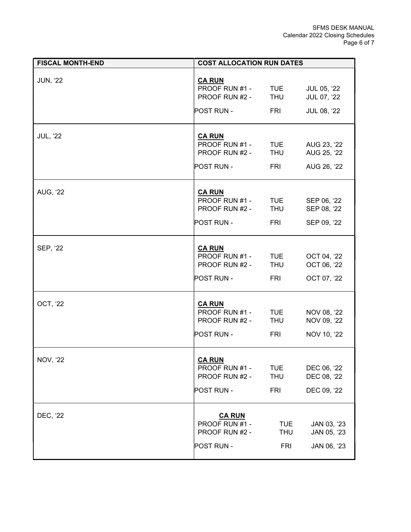| <b>FISCAL MONTH-END</b> | <b>COST ALLOCATION RUN DATES</b>                                               |                                        |                                           |
|-------------------------|--------------------------------------------------------------------------------|----------------------------------------|-------------------------------------------|
| <b>JUN, '22</b>         | <b>CA RUN</b><br>PROOF RUN #1 - TUE<br>PROOF RUN #2 - THU<br><b>POST RUN -</b> | <b>FRI</b>                             | JUL 05, '22<br>JUL 07, '22<br>JUL 08, '22 |
| <b>JUL, '22</b>         | <b>CA RUN</b><br>PROOF RUN #1 - TUE<br>PROOF RUN #2 -<br>POST RUN -            | <b>THU</b><br>FRI                      | AUG 23, '22<br>AUG 25, '22<br>AUG 26, '22 |
| <b>AUG, '22</b>         | <b>CA RUN</b><br>PROOF RUN #1 - TUE<br>PROOF RUN #2 - THU<br><b>POST RUN -</b> | FRI                                    | SEP 06, '22<br>SEP 08, '22<br>SEP 09, '22 |
| SEP, '22                | <b>CA RUN</b><br>PROOF RUN #1 - TUE<br>PROOF RUN #2 -<br><b>POST RUN -</b>     | <b>THU</b><br><b>FRI</b>               | OCT 04, '22<br>OCT 06, '22<br>OCT 07, '22 |
| <b>OCT, '22</b>         | <b>CA RUN</b><br>PROOF RUN #1 -<br>PROOF RUN #2 -<br><b>POST RUN -</b>         | <b>TUE</b><br>THU<br><b>FRI</b>        | NOV 08, '22<br>NOV 09, '22<br>NOV 10, '22 |
| <b>NOV, '22</b>         | <b>CA RUN</b><br>PROOF RUN #1 -<br>PROOF RUN #2 -<br>POST RUN -                | TUE<br><b>THU</b><br><b>FRI</b>        | DEC 06, '22<br>DEC 08, '22<br>DEC 09, '22 |
| DEC, '22                | <b>CA RUN</b><br>PROOF RUN #1 -<br>PROOF RUN #2 -<br><b>POST RUN -</b>         | <b>TUE</b><br><b>THU</b><br><b>FRI</b> | JAN 03, '23<br>JAN 05, '23<br>JAN 06, '23 |